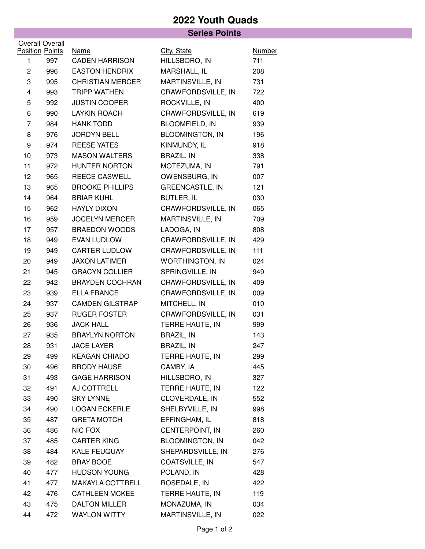## **2022 Youth Quads Series Points**

|                                           |     |                         | Series Points          |               |
|-------------------------------------------|-----|-------------------------|------------------------|---------------|
| Overall Overall<br><b>Position Points</b> |     | <b>Name</b>             | City, State            | <b>Number</b> |
| 1                                         | 997 | <b>CADEN HARRISON</b>   | HILLSBORO, IN          | 711           |
| $\overline{c}$                            | 996 | <b>EASTON HENDRIX</b>   | MARSHALL, IL           | 208           |
| 3                                         | 995 | <b>CHRISTIAN MERCER</b> | MARTINSVILLE, IN       | 731           |
| $\overline{4}$                            | 993 | <b>TRIPP WATHEN</b>     | CRAWFORDSVILLE, IN     | 722           |
| 5                                         | 992 | <b>JUSTIN COOPER</b>    | ROCKVILLE, IN          | 400           |
| 6                                         | 990 | <b>LAYKIN ROACH</b>     | CRAWFORDSVILLE, IN     | 619           |
| $\overline{7}$                            | 984 | <b>HANK TODD</b>        | <b>BLOOMFIELD, IN</b>  | 939           |
| 8                                         | 976 | <b>JORDYN BELL</b>      | <b>BLOOMINGTON, IN</b> | 196           |
| 9                                         | 974 | <b>REESE YATES</b>      | KINMUNDY, IL           | 918           |
| 10                                        | 973 | <b>MASON WALTERS</b>    | BRAZIL, IN             | 338           |
| 11                                        | 972 | <b>HUNTER NORTON</b>    | MOTEZUMA, IN           | 791           |
| 12                                        | 965 | <b>REECE CASWELL</b>    | OWENSBURG, IN          | 007           |
| 13                                        | 965 | <b>BROOKE PHILLIPS</b>  | <b>GREENCASTLE, IN</b> | 121           |
| 14                                        | 964 | <b>BRIAR KUHL</b>       | <b>BUTLER, IL</b>      | 030           |
| 15                                        | 962 | <b>HAYLY DIXON</b>      | CRAWFORDSVILLE, IN     | 065           |
| 16                                        | 959 | <b>JOCELYN MERCER</b>   | MARTINSVILLE, IN       | 709           |
| 17                                        | 957 | <b>BRAEDON WOODS</b>    | LADOGA, IN             | 808           |
| 18                                        | 949 | <b>EVAN LUDLOW</b>      | CRAWFORDSVILLE, IN     | 429           |
| 19                                        | 949 | <b>CARTER LUDLOW</b>    | CRAWFORDSVILLE, IN     | 111           |
| 20                                        | 949 | <b>JAXON LATIMER</b>    | <b>WORTHINGTON, IN</b> | 024           |
| 21                                        | 945 | <b>GRACYN COLLIER</b>   | SPRINGVILLE, IN        | 949           |
| 22                                        | 942 | <b>BRAYDEN COCHRAN</b>  | CRAWFORDSVILLE, IN     | 409           |
| 23                                        | 939 | <b>ELLA FRANCE</b>      | CRAWFORDSVILLE, IN     | 009           |
| 24                                        | 937 | <b>CAMDEN GILSTRAP</b>  | MITCHELL, IN           | 010           |
| 25                                        | 937 | <b>RUGER FOSTER</b>     | CRAWFORDSVILLE, IN     | 031           |
| 26                                        | 936 | <b>JACK HALL</b>        | TERRE HAUTE, IN        | 999           |
| 27                                        | 935 | <b>BRAYLYN NORTON</b>   | <b>BRAZIL, IN</b>      | 143           |
| 28                                        | 931 | <b>JACE LAYER</b>       | <b>BRAZIL, IN</b>      | 247           |
| 29                                        | 499 | <b>KEAGAN CHIADO</b>    | TERRE HAUTE, IN        | 299           |
| 30                                        | 496 | <b>BRODY HAUSE</b>      | CAMBY, IA              | 445           |
| 31                                        | 493 | <b>GAGE HARRISON</b>    | HILLSBORO, IN          | 327           |
| 32                                        | 491 | AJ COTTRELL             | TERRE HAUTE, IN        | 122           |
| 33                                        | 490 | <b>SKY LYNNE</b>        | CLOVERDALE, IN         | 552           |
| 34                                        | 490 | <b>LOGAN ECKERLE</b>    | SHELBYVILLE, IN        | 998           |
| 35                                        | 487 | <b>GRETA MOTCH</b>      | EFFINGHAM, IL          | 818           |
| 36                                        | 486 | NIC FOX                 | CENTERPOINT, IN        | 260           |
| 37                                        | 485 | <b>CARTER KING</b>      | <b>BLOOMINGTON, IN</b> | 042           |
| 38                                        | 484 | KALE FEUQUAY            | SHEPARDSVILLE, IN      | 276           |
| 39                                        | 482 | <b>BRAY BOOE</b>        | COATSVILLE, IN         | 547           |
| 40                                        | 477 | <b>HUDSON YOUNG</b>     | POLAND, IN             | 428           |
| 41                                        | 477 | MAKAYLA COTTRELL        | ROSEDALE, IN           | 422           |
| 42                                        | 476 | <b>CATHLEEN MCKEE</b>   | TERRE HAUTE, IN        | 119           |
| 43                                        | 475 | <b>DALTON MILLER</b>    | MONAZUMA, IN           | 034           |
| 44                                        | 472 | <b>WAYLON WITTY</b>     | MARTINSVILLE, IN       | 022           |